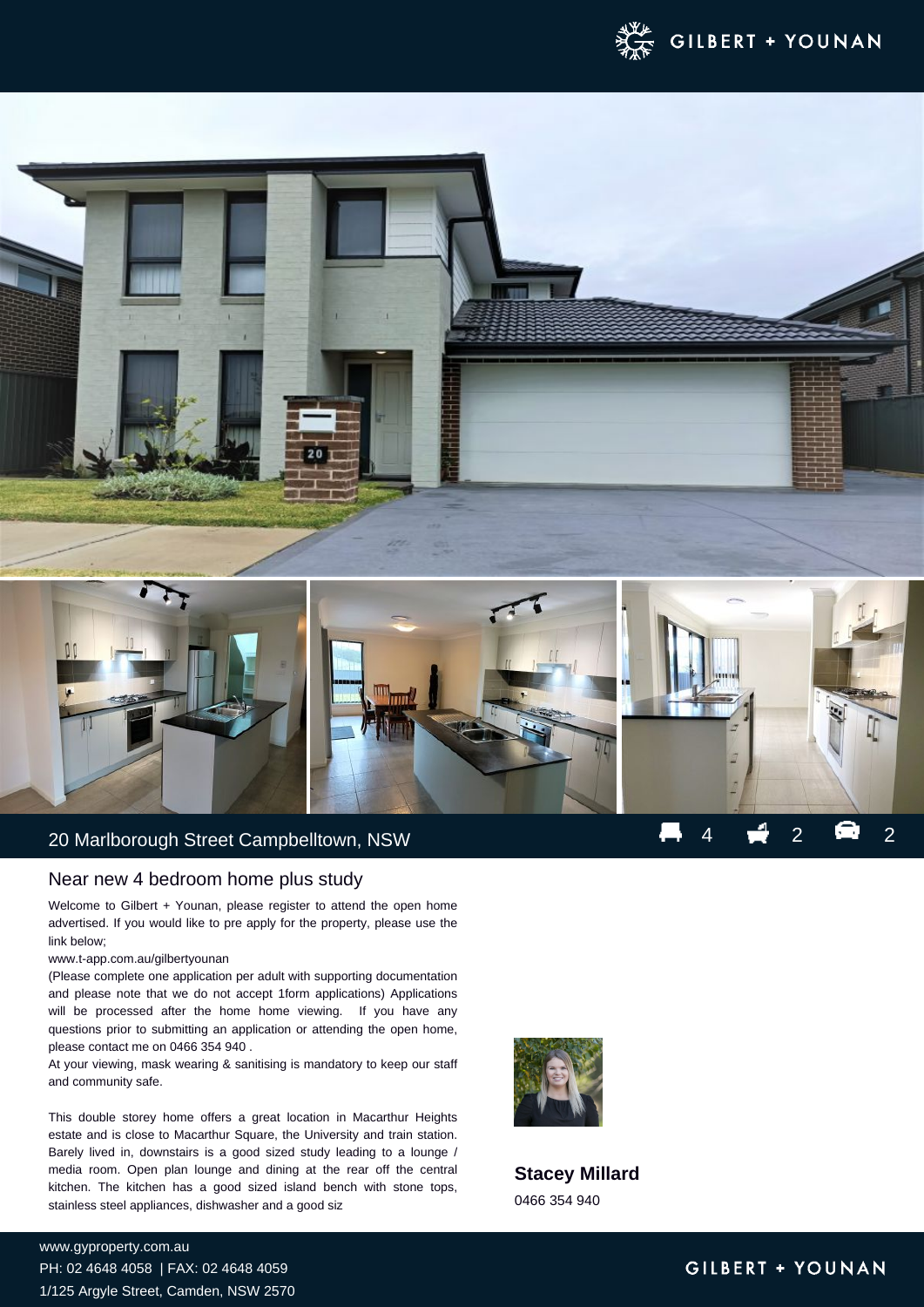

## 20 Marlborough Street Campbelltown, NSW 4 2 2 2 2

### Near new 4 bedroom home plus study

Welcome to Gilbert + Younan, please register to attend the open home advertised. If you would like to pre apply for the property, please use the link below;

#### www.t-app.com.au/gilbertyounan

(Please complete one application per adult with supporting documentation and please note that we do not accept 1form applications) Applications will be processed after the home home viewing. If you have any questions prior to submitting an application or attending the open home, please contact me on 0466 354 940 .

At your viewing, mask wearing & sanitising is mandatory to keep our staff and community safe.

This double storey home offers a great location in Macarthur Heights estate and is close to Macarthur Square, the University and train station. Barely lived in, downstairs is a good sized study leading to a lounge / media room. Open plan lounge and dining at the rear off the central kitchen. The kitchen has a good sized island bench with stone tops, stainless steel appliances, dishwasher and a good siz



**Stacey Millard** 0466 354 940

**For more details please visit https://www.gyproperty.com.au/6362569** www.gyproperty.com.au PH: 02 4648 4058 | FAX: 02 4648 4059 1/125 Argyle Street, Camden, NSW 2570

## GILBERT + YOUNAN